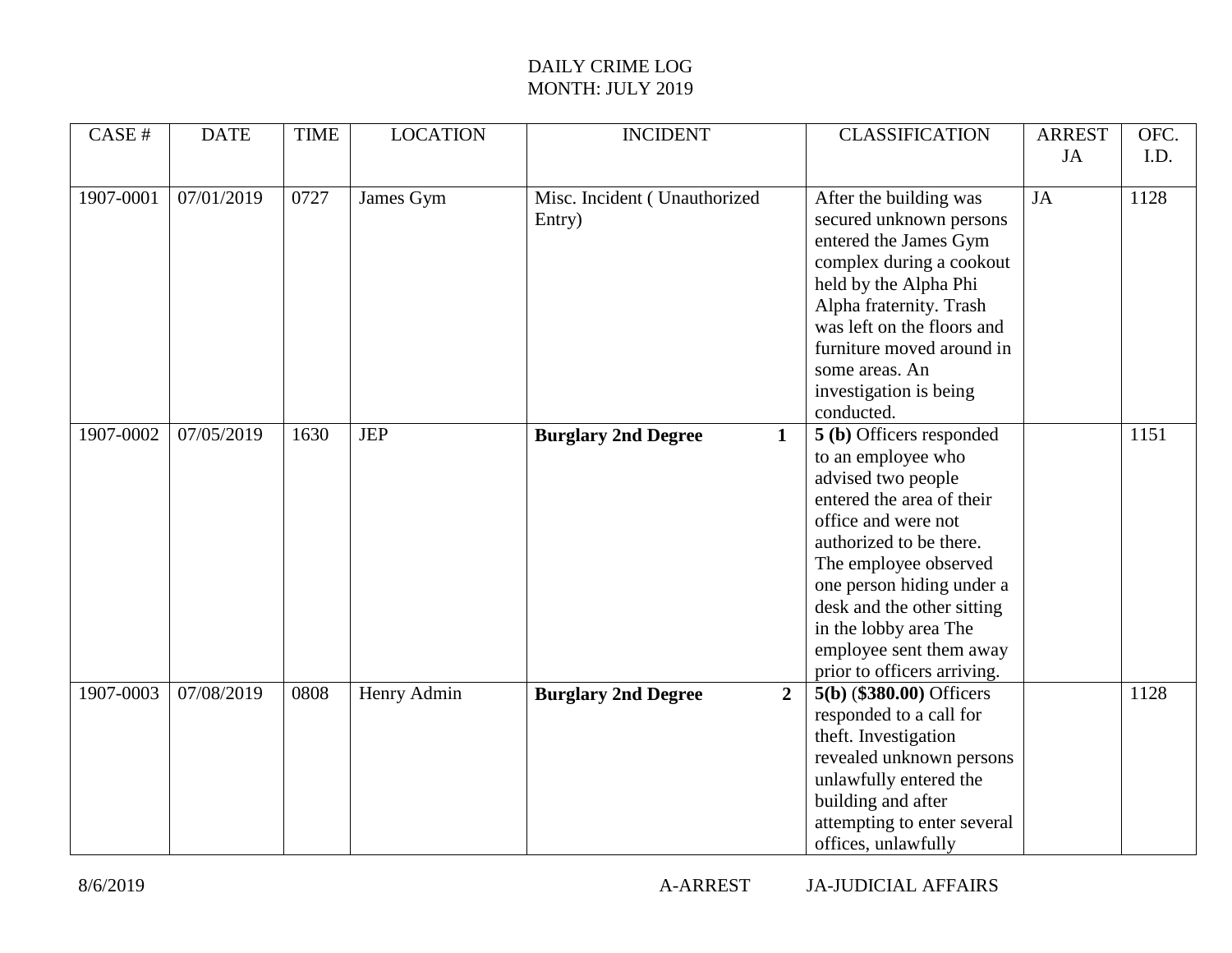| CASE#     | <b>DATE</b> | <b>TIME</b> | <b>LOCATION</b> | <b>INCIDENT</b>                              | <b>CLASSIFICATION</b>       | <b>ARREST</b> | OFC. |
|-----------|-------------|-------------|-----------------|----------------------------------------------|-----------------------------|---------------|------|
|           |             |             |                 |                                              |                             | <b>JA</b>     | I.D. |
|           |             |             |                 |                                              |                             |               |      |
| 1907-0001 | 07/01/2019  | 0727        | James Gym       | Misc. Incident (Unauthorized                 | After the building was      | <b>JA</b>     | 1128 |
|           |             |             |                 | Entry)                                       | secured unknown persons     |               |      |
|           |             |             |                 |                                              | entered the James Gym       |               |      |
|           |             |             |                 |                                              | complex during a cookout    |               |      |
|           |             |             |                 |                                              | held by the Alpha Phi       |               |      |
|           |             |             |                 |                                              | Alpha fraternity. Trash     |               |      |
|           |             |             |                 |                                              | was left on the floors and  |               |      |
|           |             |             |                 |                                              | furniture moved around in   |               |      |
|           |             |             |                 |                                              | some areas. An              |               |      |
|           |             |             |                 |                                              | investigation is being      |               |      |
|           |             |             |                 |                                              | conducted.                  |               |      |
| 1907-0002 | 07/05/2019  | 1630        | <b>JEP</b>      | <b>Burglary 2nd Degree</b><br>$\mathbf{1}$   | 5 (b) Officers responded    |               | 1151 |
|           |             |             |                 |                                              | to an employee who          |               |      |
|           |             |             |                 |                                              | advised two people          |               |      |
|           |             |             |                 |                                              | entered the area of their   |               |      |
|           |             |             |                 |                                              | office and were not         |               |      |
|           |             |             |                 |                                              | authorized to be there.     |               |      |
|           |             |             |                 |                                              | The employee observed       |               |      |
|           |             |             |                 |                                              | one person hiding under a   |               |      |
|           |             |             |                 |                                              | desk and the other sitting  |               |      |
|           |             |             |                 |                                              | in the lobby area The       |               |      |
|           |             |             |                 |                                              | employee sent them away     |               |      |
|           |             |             |                 |                                              | prior to officers arriving. |               |      |
| 1907-0003 | 07/08/2019  | 0808        | Henry Admin     | <b>Burglary 2nd Degree</b><br>$\overline{2}$ | $5(b)$ (\$380.00) Officers  |               | 1128 |
|           |             |             |                 |                                              | responded to a call for     |               |      |
|           |             |             |                 |                                              | theft. Investigation        |               |      |
|           |             |             |                 |                                              | revealed unknown persons    |               |      |
|           |             |             |                 |                                              | unlawfully entered the      |               |      |
|           |             |             |                 |                                              | building and after          |               |      |
|           |             |             |                 |                                              | attempting to enter several |               |      |
|           |             |             |                 |                                              | offices, unlawfully         |               |      |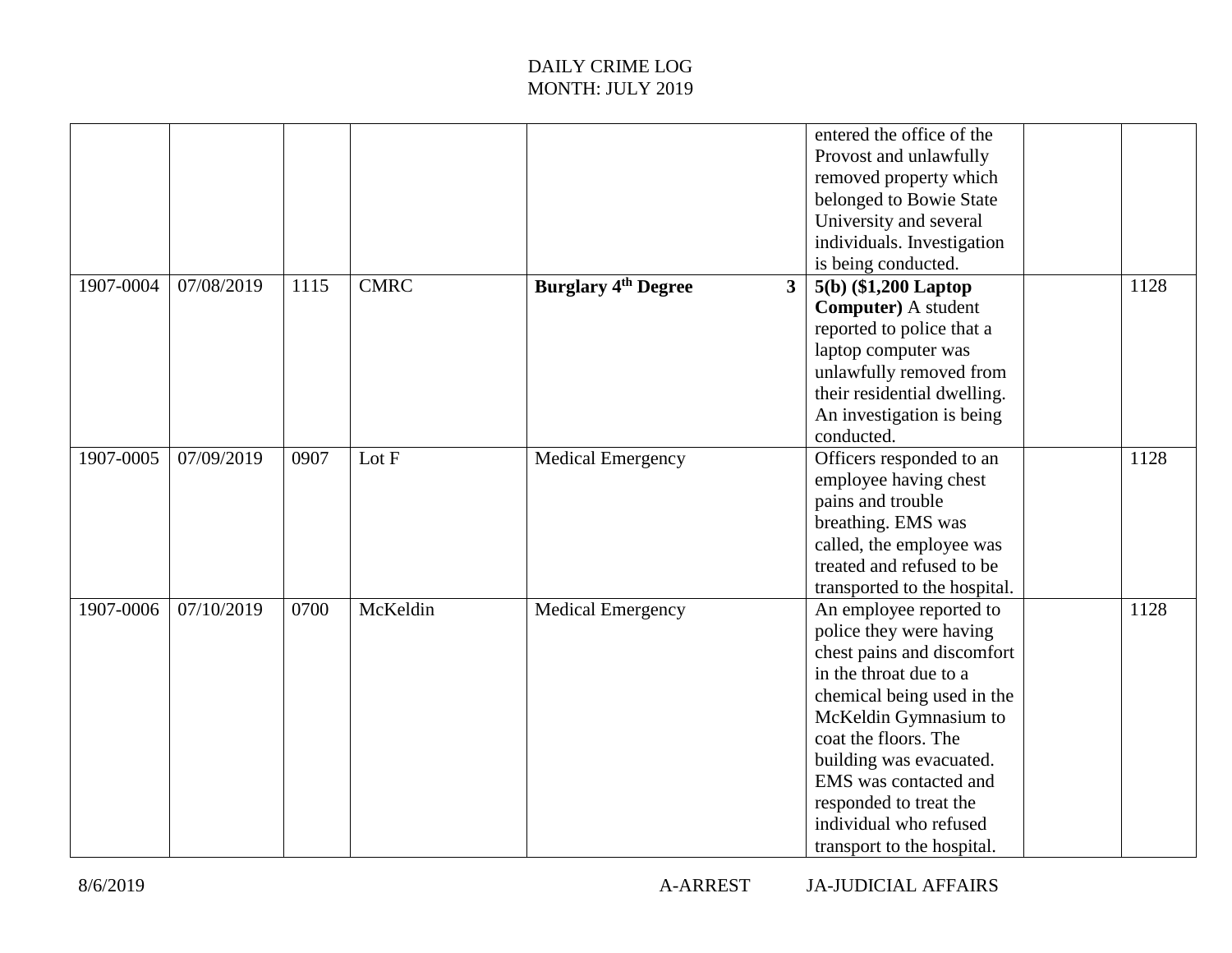|           |            |      |             |                                              | entered the office of the<br>Provost and unlawfully<br>removed property which<br>belonged to Bowie State<br>University and several<br>individuals. Investigation<br>is being conducted.                                                                                                                                         |      |
|-----------|------------|------|-------------|----------------------------------------------|---------------------------------------------------------------------------------------------------------------------------------------------------------------------------------------------------------------------------------------------------------------------------------------------------------------------------------|------|
| 1907-0004 | 07/08/2019 | 1115 | <b>CMRC</b> | <b>Burglary 4th Degree</b><br>3 <sup>1</sup> | $5(b)$ (\$1,200 Laptop<br><b>Computer</b> ) A student<br>reported to police that a<br>laptop computer was<br>unlawfully removed from<br>their residential dwelling.<br>An investigation is being<br>conducted.                                                                                                                  | 1128 |
| 1907-0005 | 07/09/2019 | 0907 | Lot F       | <b>Medical Emergency</b>                     | Officers responded to an<br>employee having chest<br>pains and trouble<br>breathing. EMS was<br>called, the employee was<br>treated and refused to be<br>transported to the hospital.                                                                                                                                           | 1128 |
| 1907-0006 | 07/10/2019 | 0700 | McKeldin    | <b>Medical Emergency</b>                     | An employee reported to<br>police they were having<br>chest pains and discomfort<br>in the throat due to a<br>chemical being used in the<br>McKeldin Gymnasium to<br>coat the floors. The<br>building was evacuated.<br>EMS was contacted and<br>responded to treat the<br>individual who refused<br>transport to the hospital. | 1128 |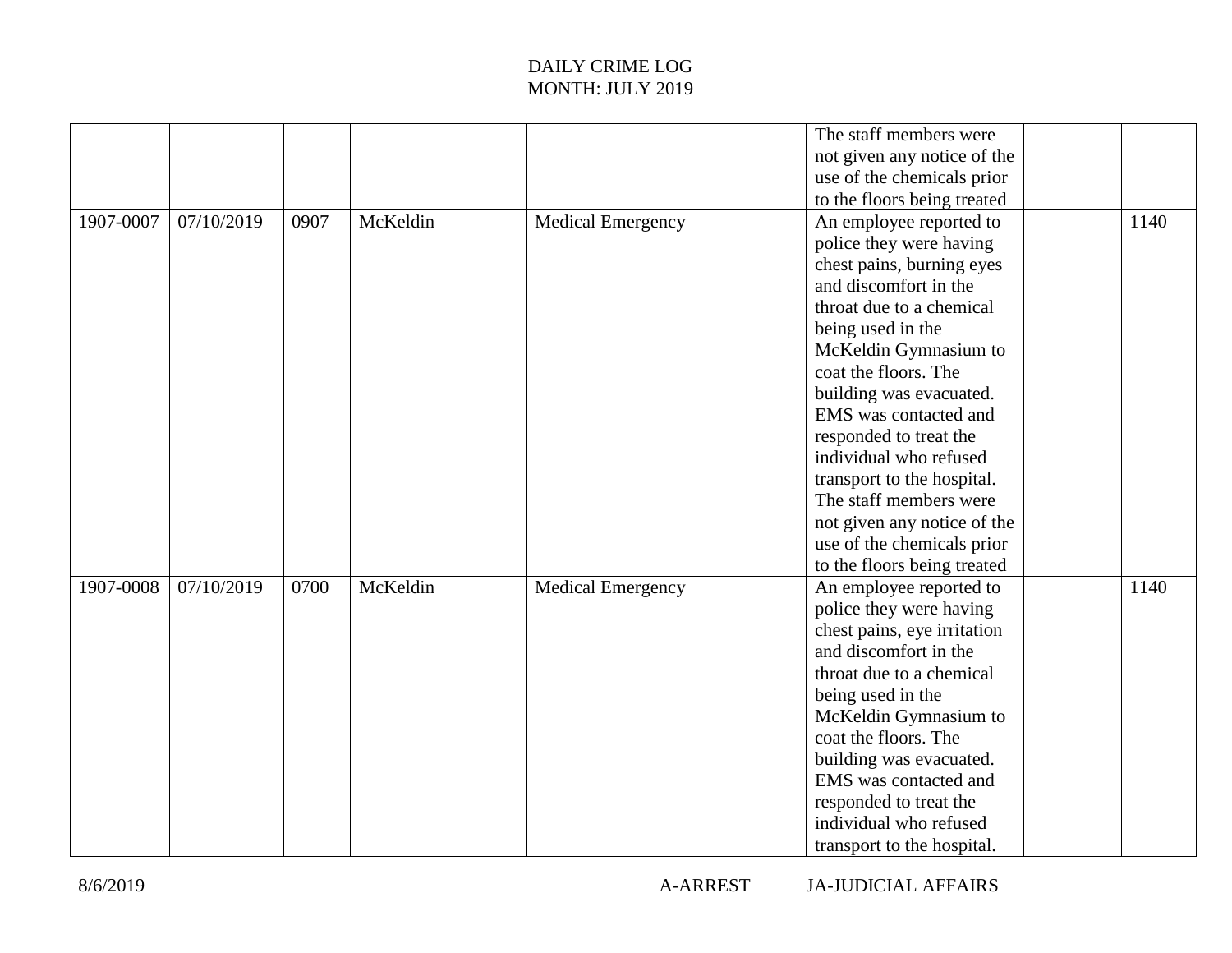|           |            |      |          |                          | The staff members were      |      |
|-----------|------------|------|----------|--------------------------|-----------------------------|------|
|           |            |      |          |                          |                             |      |
|           |            |      |          |                          | not given any notice of the |      |
|           |            |      |          |                          | use of the chemicals prior  |      |
|           |            |      |          |                          | to the floors being treated |      |
| 1907-0007 | 07/10/2019 | 0907 | McKeldin | <b>Medical Emergency</b> | An employee reported to     | 1140 |
|           |            |      |          |                          | police they were having     |      |
|           |            |      |          |                          | chest pains, burning eyes   |      |
|           |            |      |          |                          | and discomfort in the       |      |
|           |            |      |          |                          | throat due to a chemical    |      |
|           |            |      |          |                          | being used in the           |      |
|           |            |      |          |                          | McKeldin Gymnasium to       |      |
|           |            |      |          |                          | coat the floors. The        |      |
|           |            |      |          |                          | building was evacuated.     |      |
|           |            |      |          |                          | EMS was contacted and       |      |
|           |            |      |          |                          | responded to treat the      |      |
|           |            |      |          |                          | individual who refused      |      |
|           |            |      |          |                          | transport to the hospital.  |      |
|           |            |      |          |                          | The staff members were      |      |
|           |            |      |          |                          | not given any notice of the |      |
|           |            |      |          |                          | use of the chemicals prior  |      |
|           |            |      |          |                          | to the floors being treated |      |
| 1907-0008 | 07/10/2019 | 0700 | McKeldin | <b>Medical Emergency</b> | An employee reported to     | 1140 |
|           |            |      |          |                          | police they were having     |      |
|           |            |      |          |                          | chest pains, eye irritation |      |
|           |            |      |          |                          | and discomfort in the       |      |
|           |            |      |          |                          | throat due to a chemical    |      |
|           |            |      |          |                          | being used in the           |      |
|           |            |      |          |                          | McKeldin Gymnasium to       |      |
|           |            |      |          |                          | coat the floors. The        |      |
|           |            |      |          |                          | building was evacuated.     |      |
|           |            |      |          |                          | EMS was contacted and       |      |
|           |            |      |          |                          | responded to treat the      |      |
|           |            |      |          |                          | individual who refused      |      |
|           |            |      |          |                          | transport to the hospital.  |      |
|           |            |      |          |                          |                             |      |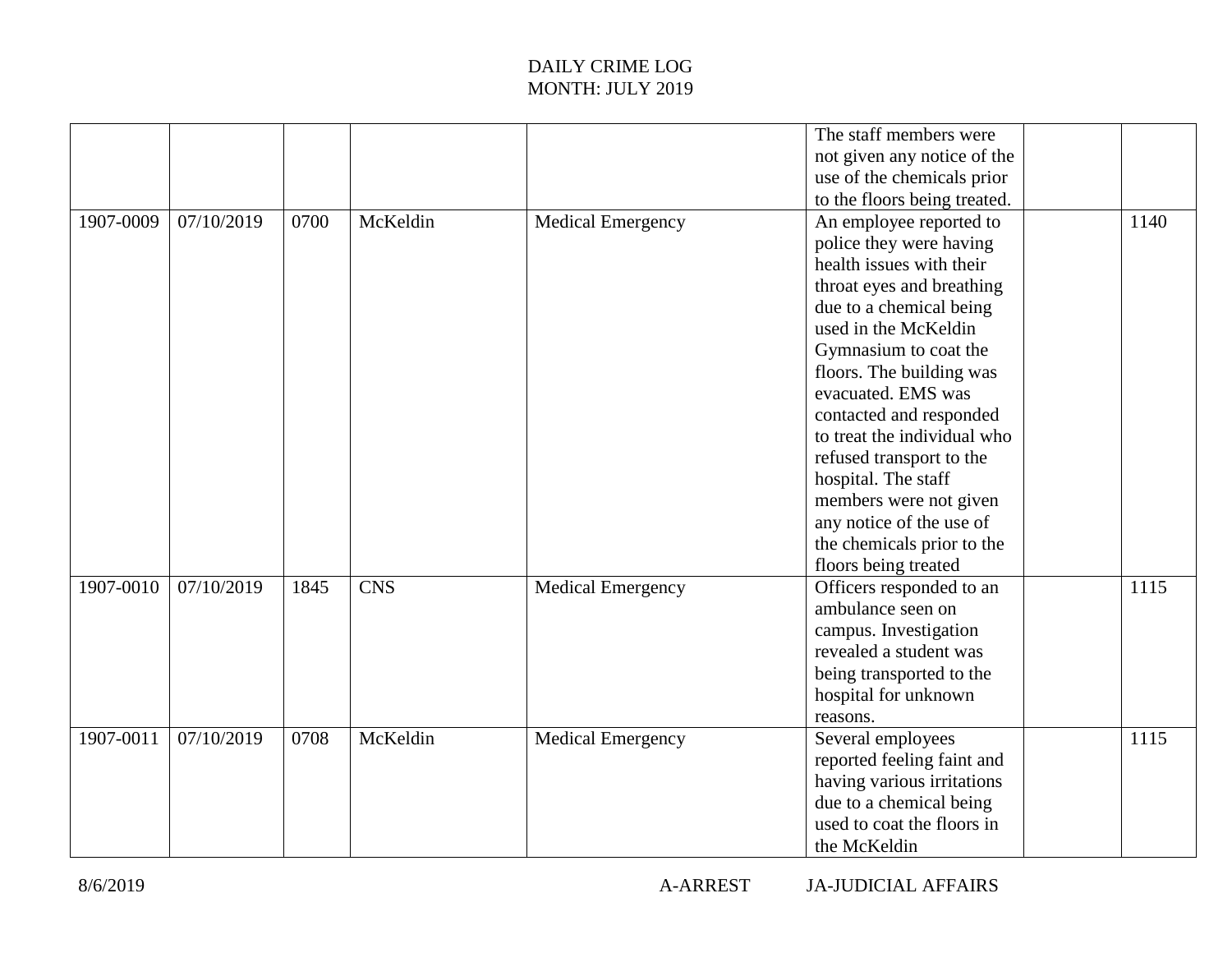|           |            |      |            |                          | The staff members were       |      |
|-----------|------------|------|------------|--------------------------|------------------------------|------|
|           |            |      |            |                          | not given any notice of the  |      |
|           |            |      |            |                          | use of the chemicals prior   |      |
|           |            |      |            |                          | to the floors being treated. |      |
| 1907-0009 | 07/10/2019 | 0700 | McKeldin   | <b>Medical Emergency</b> | An employee reported to      | 1140 |
|           |            |      |            |                          | police they were having      |      |
|           |            |      |            |                          | health issues with their     |      |
|           |            |      |            |                          | throat eyes and breathing    |      |
|           |            |      |            |                          | due to a chemical being      |      |
|           |            |      |            |                          | used in the McKeldin         |      |
|           |            |      |            |                          | Gymnasium to coat the        |      |
|           |            |      |            |                          | floors. The building was     |      |
|           |            |      |            |                          | evacuated. EMS was           |      |
|           |            |      |            |                          | contacted and responded      |      |
|           |            |      |            |                          | to treat the individual who  |      |
|           |            |      |            |                          | refused transport to the     |      |
|           |            |      |            |                          | hospital. The staff          |      |
|           |            |      |            |                          | members were not given       |      |
|           |            |      |            |                          | any notice of the use of     |      |
|           |            |      |            |                          | the chemicals prior to the   |      |
|           |            |      |            |                          | floors being treated         |      |
| 1907-0010 | 07/10/2019 | 1845 | <b>CNS</b> | <b>Medical Emergency</b> | Officers responded to an     | 1115 |
|           |            |      |            |                          | ambulance seen on            |      |
|           |            |      |            |                          | campus. Investigation        |      |
|           |            |      |            |                          | revealed a student was       |      |
|           |            |      |            |                          | being transported to the     |      |
|           |            |      |            |                          | hospital for unknown         |      |
|           |            |      |            |                          | reasons.                     |      |
| 1907-0011 | 07/10/2019 | 0708 | McKeldin   | <b>Medical Emergency</b> | Several employees            | 1115 |
|           |            |      |            |                          | reported feeling faint and   |      |
|           |            |      |            |                          | having various irritations   |      |
|           |            |      |            |                          | due to a chemical being      |      |
|           |            |      |            |                          | used to coat the floors in   |      |
|           |            |      |            |                          | the McKeldin                 |      |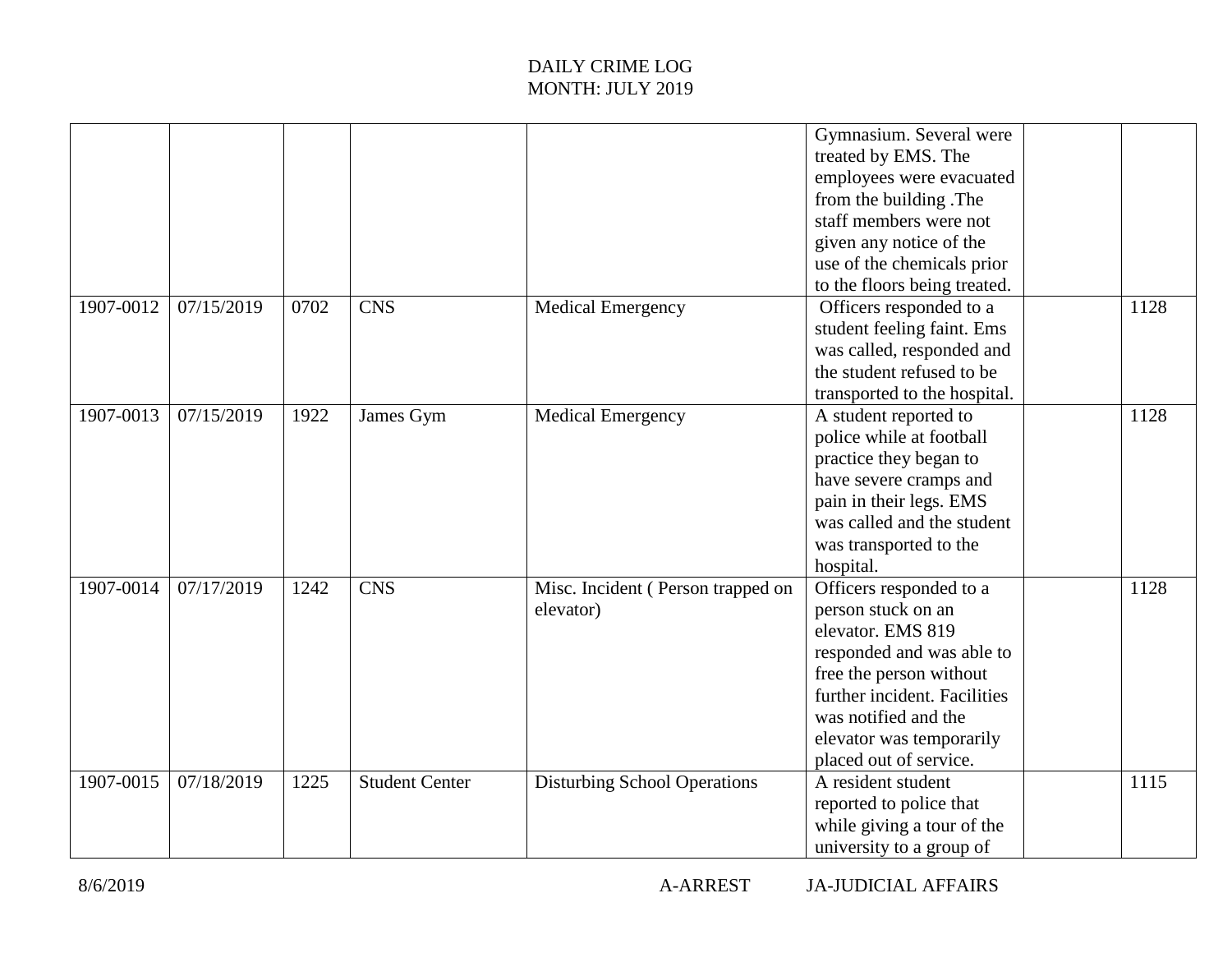|           |            |      |                       |                                                | Gymnasium. Several were<br>treated by EMS. The<br>employees were evacuated<br>from the building. The<br>staff members were not<br>given any notice of the<br>use of the chemicals prior<br>to the floors being treated.                  |      |
|-----------|------------|------|-----------------------|------------------------------------------------|------------------------------------------------------------------------------------------------------------------------------------------------------------------------------------------------------------------------------------------|------|
| 1907-0012 | 07/15/2019 | 0702 | <b>CNS</b>            | <b>Medical Emergency</b>                       | Officers responded to a<br>student feeling faint. Ems<br>was called, responded and<br>the student refused to be<br>transported to the hospital.                                                                                          | 1128 |
| 1907-0013 | 07/15/2019 | 1922 | James Gym             | <b>Medical Emergency</b>                       | A student reported to<br>police while at football<br>practice they began to<br>have severe cramps and<br>pain in their legs. EMS<br>was called and the student<br>was transported to the<br>hospital.                                    | 1128 |
| 1907-0014 | 07/17/2019 | 1242 | <b>CNS</b>            | Misc. Incident (Person trapped on<br>elevator) | Officers responded to a<br>person stuck on an<br>elevator. EMS 819<br>responded and was able to<br>free the person without<br>further incident. Facilities<br>was notified and the<br>elevator was temporarily<br>placed out of service. | 1128 |
| 1907-0015 | 07/18/2019 | 1225 | <b>Student Center</b> | <b>Disturbing School Operations</b>            | A resident student<br>reported to police that<br>while giving a tour of the<br>university to a group of                                                                                                                                  | 1115 |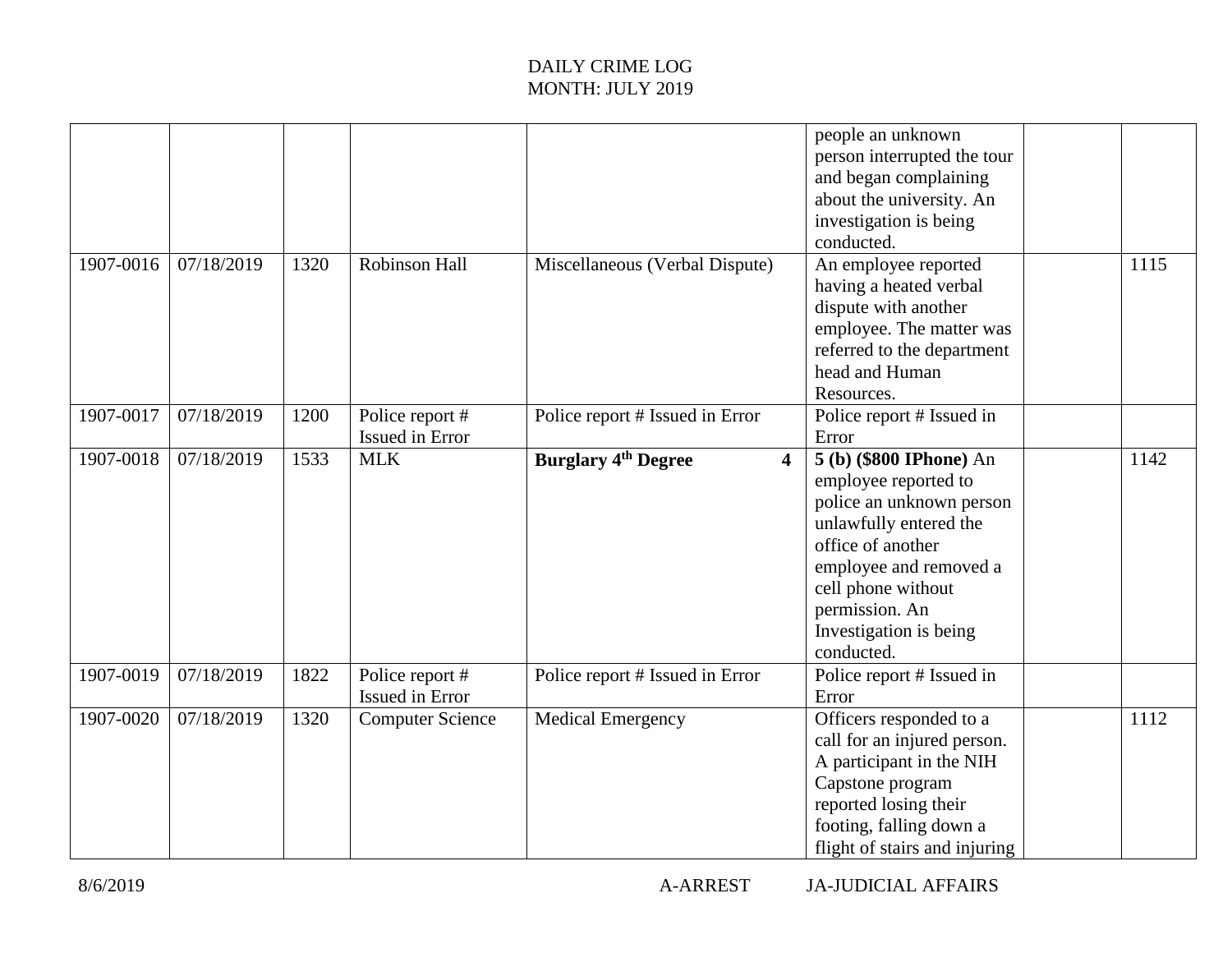|           |            |      |                                    |                                                       | people an unknown<br>person interrupted the tour<br>and began complaining<br>about the university. An<br>investigation is being<br>conducted.                                                                                        |      |
|-----------|------------|------|------------------------------------|-------------------------------------------------------|--------------------------------------------------------------------------------------------------------------------------------------------------------------------------------------------------------------------------------------|------|
| 1907-0016 | 07/18/2019 | 1320 | <b>Robinson Hall</b>               | Miscellaneous (Verbal Dispute)                        | An employee reported<br>having a heated verbal<br>dispute with another<br>employee. The matter was<br>referred to the department<br>head and Human<br>Resources.                                                                     | 1115 |
| 1907-0017 | 07/18/2019 | 1200 | Police report #<br>Issued in Error | Police report # Issued in Error                       | Police report # Issued in<br>Error                                                                                                                                                                                                   |      |
| 1907-0018 | 07/18/2019 | 1533 | <b>MLK</b>                         | <b>Burglary 4th Degree</b><br>$\overline{\mathbf{4}}$ | 5 (b) (\$800 IPhone) An<br>employee reported to<br>police an unknown person<br>unlawfully entered the<br>office of another<br>employee and removed a<br>cell phone without<br>permission. An<br>Investigation is being<br>conducted. | 1142 |
| 1907-0019 | 07/18/2019 | 1822 | Police report #<br>Issued in Error | Police report # Issued in Error                       | Police report # Issued in<br>Error                                                                                                                                                                                                   |      |
| 1907-0020 | 07/18/2019 | 1320 | <b>Computer Science</b>            | <b>Medical Emergency</b>                              | Officers responded to a<br>call for an injured person.<br>A participant in the NIH<br>Capstone program<br>reported losing their<br>footing, falling down a<br>flight of stairs and injuring                                          | 1112 |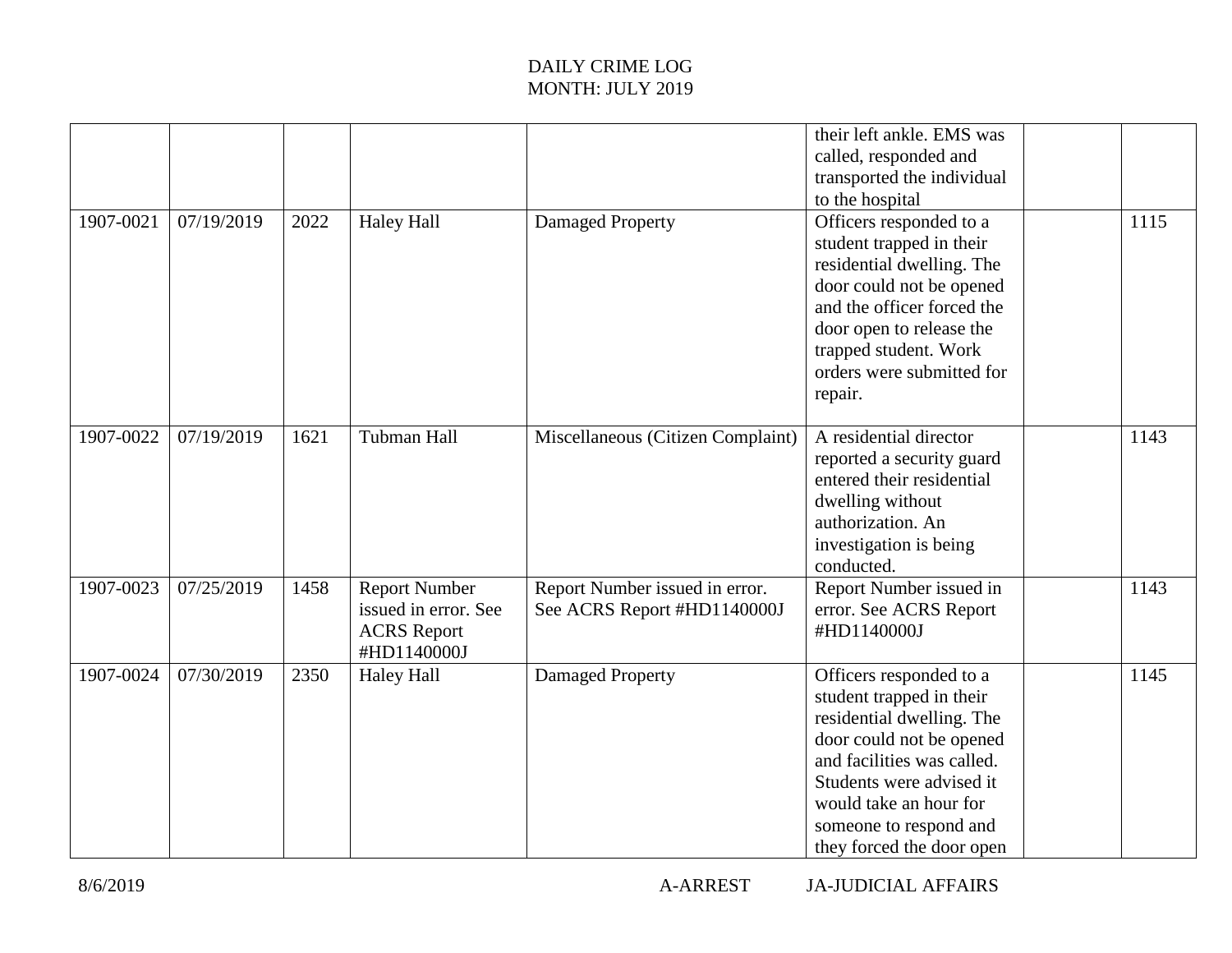|           |            |      |                                                                                   |                                                               | their left ankle. EMS was<br>called, responded and<br>transported the individual<br>to the hospital                                                                                                                                                     |      |
|-----------|------------|------|-----------------------------------------------------------------------------------|---------------------------------------------------------------|---------------------------------------------------------------------------------------------------------------------------------------------------------------------------------------------------------------------------------------------------------|------|
| 1907-0021 | 07/19/2019 | 2022 | <b>Haley Hall</b>                                                                 | Damaged Property                                              | Officers responded to a<br>student trapped in their<br>residential dwelling. The<br>door could not be opened<br>and the officer forced the<br>door open to release the<br>trapped student. Work<br>orders were submitted for<br>repair.                 | 1115 |
| 1907-0022 | 07/19/2019 | 1621 | <b>Tubman Hall</b>                                                                | Miscellaneous (Citizen Complaint)                             | A residential director<br>reported a security guard<br>entered their residential<br>dwelling without<br>authorization. An<br>investigation is being<br>conducted.                                                                                       | 1143 |
| 1907-0023 | 07/25/2019 | 1458 | <b>Report Number</b><br>issued in error. See<br><b>ACRS</b> Report<br>#HD1140000J | Report Number issued in error.<br>See ACRS Report #HD1140000J | Report Number issued in<br>error. See ACRS Report<br>#HD1140000J                                                                                                                                                                                        | 1143 |
| 1907-0024 | 07/30/2019 | 2350 | <b>Haley Hall</b>                                                                 | Damaged Property                                              | Officers responded to a<br>student trapped in their<br>residential dwelling. The<br>door could not be opened<br>and facilities was called.<br>Students were advised it<br>would take an hour for<br>someone to respond and<br>they forced the door open | 1145 |